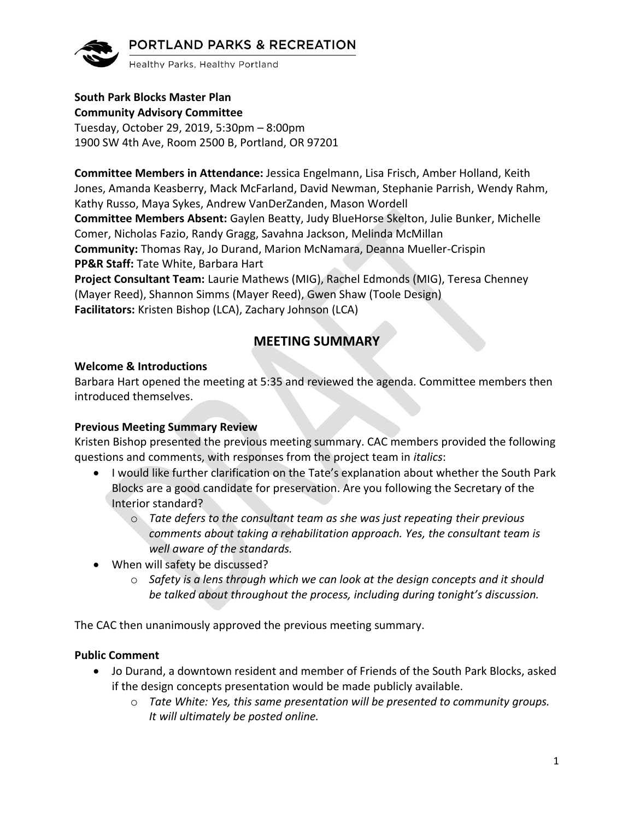

Healthy Parks, Healthy Portland

#### **South Park Blocks Master Plan Community Advisory Committee**

Tuesday, October 29, 2019, 5:30pm – 8:00pm 1900 SW 4th Ave, Room 2500 B, Portland, OR 97201

**Committee Members in Attendance:** Jessica Engelmann, Lisa Frisch, Amber Holland, Keith Jones, Amanda Keasberry, Mack McFarland, David Newman, Stephanie Parrish, Wendy Rahm, Kathy Russo, Maya Sykes, Andrew VanDerZanden, Mason Wordell **Committee Members Absent:** Gaylen Beatty, Judy BlueHorse Skelton, Julie Bunker, Michelle Comer, Nicholas Fazio, Randy Gragg, Savahna Jackson, Melinda McMillan **Community:** Thomas Ray, Jo Durand, Marion McNamara, Deanna Mueller-Crispin **PP&R Staff:** Tate White, Barbara Hart **Project Consultant Team:** Laurie Mathews (MIG), Rachel Edmonds (MIG), Teresa Chenney (Mayer Reed), Shannon Simms (Mayer Reed), Gwen Shaw (Toole Design) **Facilitators:** Kristen Bishop (LCA), Zachary Johnson (LCA)

# **MEETING SUMMARY**

#### **Welcome & Introductions**

Barbara Hart opened the meeting at 5:35 and reviewed the agenda. Committee members then introduced themselves.

### **Previous Meeting Summary Review**

Kristen Bishop presented the previous meeting summary. CAC members provided the following questions and comments, with responses from the project team in *italics*:

- I would like further clarification on the Tate's explanation about whether the South Park Blocks are a good candidate for preservation. Are you following the Secretary of the Interior standard?
	- o *Tate defers to the consultant team as she was just repeating their previous comments about taking a rehabilitation approach. Yes, the consultant team is well aware of the standards.*
- When will safety be discussed?
	- o *Safety is a lens through which we can look at the design concepts and it should be talked about throughout the process, including during tonight's discussion.*

The CAC then unanimously approved the previous meeting summary.

#### **Public Comment**

- Jo Durand, a downtown resident and member of Friends of the South Park Blocks, asked if the design concepts presentation would be made publicly available.
	- o *Tate White: Yes, this same presentation will be presented to community groups. It will ultimately be posted online.*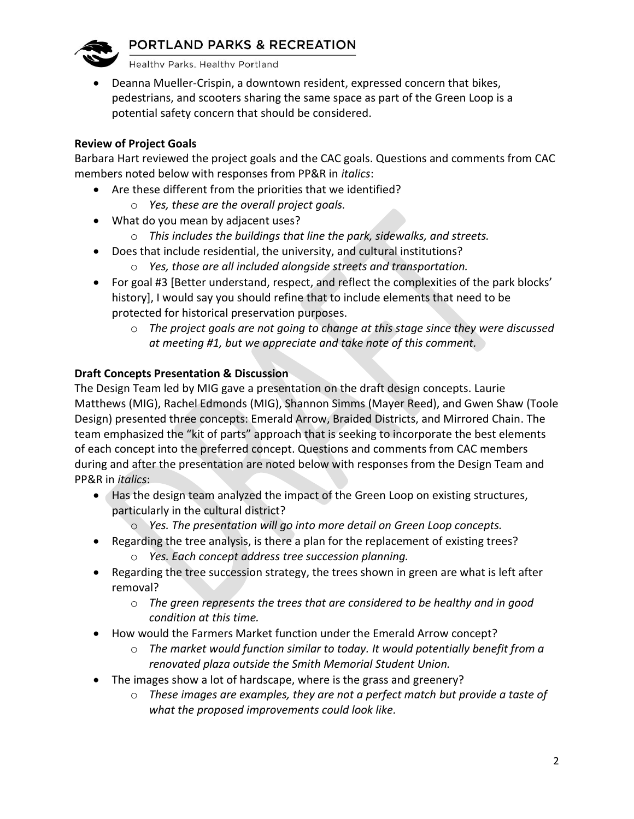Healthy Parks, Healthy Portland

• Deanna Mueller-Crispin, a downtown resident, expressed concern that bikes, pedestrians, and scooters sharing the same space as part of the Green Loop is a potential safety concern that should be considered.

#### **Review of Project Goals**

Barbara Hart reviewed the project goals and the CAC goals. Questions and comments from CAC members noted below with responses from PP&R in *italics*:

- Are these different from the priorities that we identified?
	- o *Yes, these are the overall project goals.*
- What do you mean by adjacent uses?
	- o *This includes the buildings that line the park, sidewalks, and streets.*
- Does that include residential, the university, and cultural institutions?
	- o *Yes, those are all included alongside streets and transportation.*
- For goal #3 [Better understand, respect, and reflect the complexities of the park blocks' history], I would say you should refine that to include elements that need to be protected for historical preservation purposes.
	- o *The project goals are not going to change at this stage since they were discussed at meeting #1, but we appreciate and take note of this comment.*

### **Draft Concepts Presentation & Discussion**

The Design Team led by MIG gave a presentation on the draft design concepts. Laurie Matthews (MIG), Rachel Edmonds (MIG), Shannon Simms (Mayer Reed), and Gwen Shaw (Toole Design) presented three concepts: Emerald Arrow, Braided Districts, and Mirrored Chain. The team emphasized the "kit of parts" approach that is seeking to incorporate the best elements of each concept into the preferred concept. Questions and comments from CAC members during and after the presentation are noted below with responses from the Design Team and PP&R in *italics*:

- Has the design team analyzed the impact of the Green Loop on existing structures, particularly in the cultural district?
	- o *Yes. The presentation will go into more detail on Green Loop concepts.*
- Regarding the tree analysis, is there a plan for the replacement of existing trees?
	- o *Yes. Each concept address tree succession planning.*
- Regarding the tree succession strategy, the trees shown in green are what is left after removal?
	- o *The green represents the trees that are considered to be healthy and in good condition at this time.*
- How would the Farmers Market function under the Emerald Arrow concept?
	- o *The market would function similar to today. It would potentially benefit from a renovated plaza outside the Smith Memorial Student Union.*
- The images show a lot of hardscape, where is the grass and greenery?
	- o *These images are examples, they are not a perfect match but provide a taste of what the proposed improvements could look like.*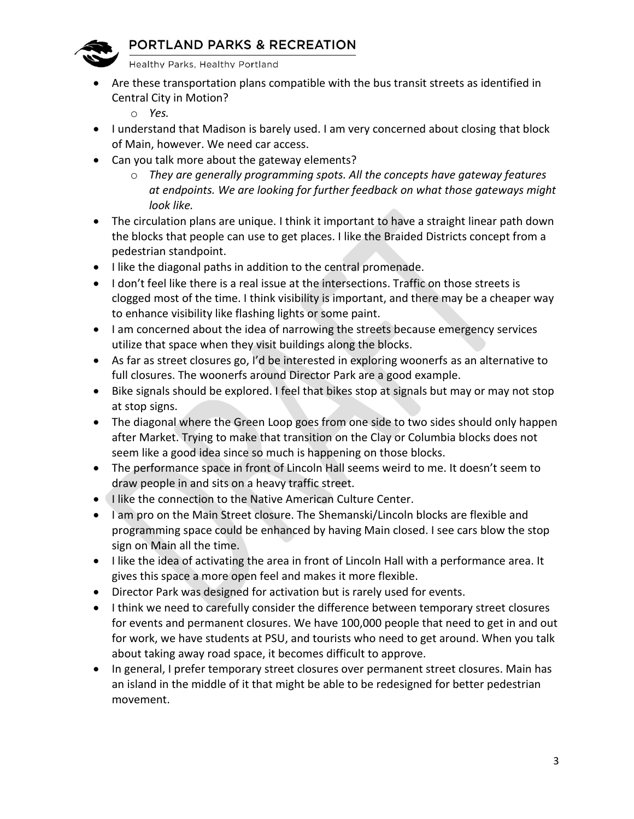

Healthy Parks, Healthy Portland

- Are these transportation plans compatible with the bus transit streets as identified in Central City in Motion?
	- o *Yes.*
- I understand that Madison is barely used. I am very concerned about closing that block of Main, however. We need car access.
- Can you talk more about the gateway elements?
	- o *They are generally programming spots. All the concepts have gateway features at endpoints. We are looking for further feedback on what those gateways might look like.*
- The circulation plans are unique. I think it important to have a straight linear path down the blocks that people can use to get places. I like the Braided Districts concept from a pedestrian standpoint.
- I like the diagonal paths in addition to the central promenade.
- I don't feel like there is a real issue at the intersections. Traffic on those streets is clogged most of the time. I think visibility is important, and there may be a cheaper way to enhance visibility like flashing lights or some paint.
- I am concerned about the idea of narrowing the streets because emergency services utilize that space when they visit buildings along the blocks.
- As far as street closures go, I'd be interested in exploring woonerfs as an alternative to full closures. The woonerfs around Director Park are a good example.
- Bike signals should be explored. I feel that bikes stop at signals but may or may not stop at stop signs.
- The diagonal where the Green Loop goes from one side to two sides should only happen after Market. Trying to make that transition on the Clay or Columbia blocks does not seem like a good idea since so much is happening on those blocks.
- The performance space in front of Lincoln Hall seems weird to me. It doesn't seem to draw people in and sits on a heavy traffic street.
- I like the connection to the Native American Culture Center.
- I am pro on the Main Street closure. The Shemanski/Lincoln blocks are flexible and programming space could be enhanced by having Main closed. I see cars blow the stop sign on Main all the time.
- I like the idea of activating the area in front of Lincoln Hall with a performance area. It gives this space a more open feel and makes it more flexible.
- Director Park was designed for activation but is rarely used for events.
- I think we need to carefully consider the difference between temporary street closures for events and permanent closures. We have 100,000 people that need to get in and out for work, we have students at PSU, and tourists who need to get around. When you talk about taking away road space, it becomes difficult to approve.
- In general, I prefer temporary street closures over permanent street closures. Main has an island in the middle of it that might be able to be redesigned for better pedestrian movement.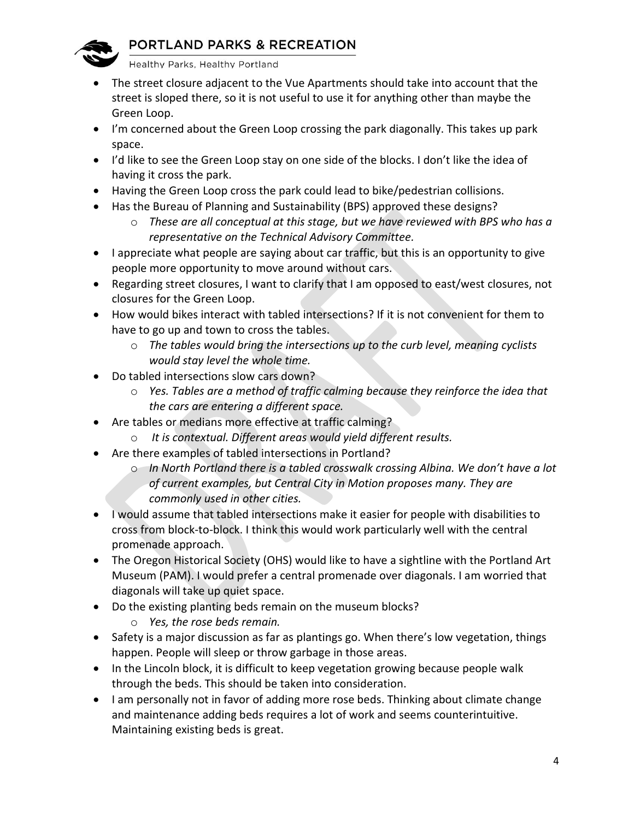

Healthy Parks, Healthy Portland

- The street closure adjacent to the Vue Apartments should take into account that the street is sloped there, so it is not useful to use it for anything other than maybe the Green Loop.
- I'm concerned about the Green Loop crossing the park diagonally. This takes up park space.
- I'd like to see the Green Loop stay on one side of the blocks. I don't like the idea of having it cross the park.
- Having the Green Loop cross the park could lead to bike/pedestrian collisions.
- Has the Bureau of Planning and Sustainability (BPS) approved these designs?
	- o *These are all conceptual at this stage, but we have reviewed with BPS who has a representative on the Technical Advisory Committee.*
- I appreciate what people are saying about car traffic, but this is an opportunity to give people more opportunity to move around without cars.
- Regarding street closures, I want to clarify that I am opposed to east/west closures, not closures for the Green Loop.
- How would bikes interact with tabled intersections? If it is not convenient for them to have to go up and town to cross the tables.
	- o *The tables would bring the intersections up to the curb level, meaning cyclists would stay level the whole time.*
- Do tabled intersections slow cars down?
	- o *Yes. Tables are a method of traffic calming because they reinforce the idea that the cars are entering a different space.*
- Are tables or medians more effective at traffic calming?
	- o *It is contextual. Different areas would yield different results.*
- Are there examples of tabled intersections in Portland?
	- o *In North Portland there is a tabled crosswalk crossing Albina. We don't have a lot of current examples, but Central City in Motion proposes many. They are commonly used in other cities.*
- I would assume that tabled intersections make it easier for people with disabilities to cross from block-to-block. I think this would work particularly well with the central promenade approach.
- The Oregon Historical Society (OHS) would like to have a sightline with the Portland Art Museum (PAM). I would prefer a central promenade over diagonals. I am worried that diagonals will take up quiet space.
- Do the existing planting beds remain on the museum blocks?
	- o *Yes, the rose beds remain.*
- Safety is a major discussion as far as plantings go. When there's low vegetation, things happen. People will sleep or throw garbage in those areas.
- In the Lincoln block, it is difficult to keep vegetation growing because people walk through the beds. This should be taken into consideration.
- I am personally not in favor of adding more rose beds. Thinking about climate change and maintenance adding beds requires a lot of work and seems counterintuitive. Maintaining existing beds is great.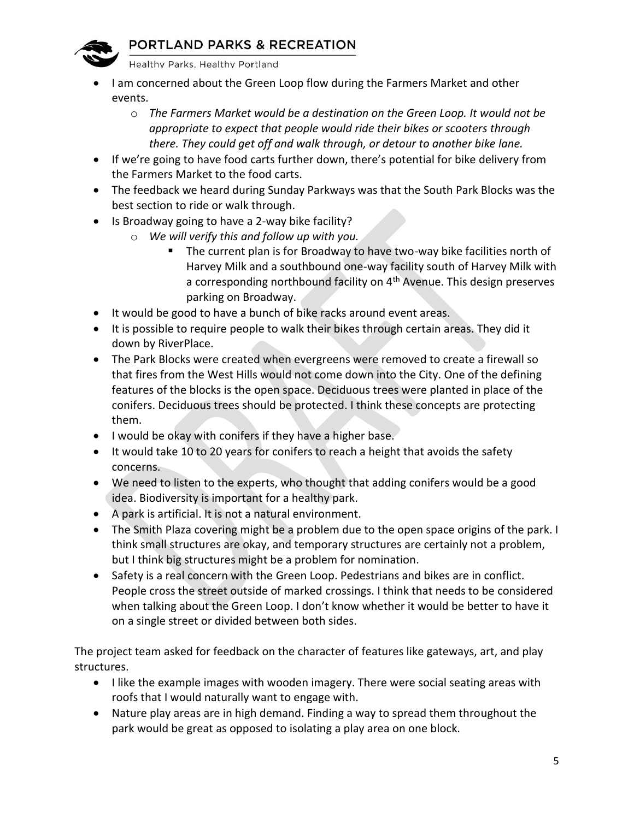

Healthy Parks, Healthy Portland

- I am concerned about the Green Loop flow during the Farmers Market and other events.
	- o *The Farmers Market would be a destination on the Green Loop. It would not be appropriate to expect that people would ride their bikes or scooters through there. They could get off and walk through, or detour to another bike lane.*
- If we're going to have food carts further down, there's potential for bike delivery from the Farmers Market to the food carts.
- The feedback we heard during Sunday Parkways was that the South Park Blocks was the best section to ride or walk through.
- Is Broadway going to have a 2-way bike facility?
	- o *We will verify this and follow up with you.* 
		- The current plan is for Broadway to have two-way bike facilities north of Harvey Milk and a southbound one-way facility south of Harvey Milk with a corresponding northbound facility on 4<sup>th</sup> Avenue. This design preserves parking on Broadway.
- It would be good to have a bunch of bike racks around event areas.
- It is possible to require people to walk their bikes through certain areas. They did it down by RiverPlace.
- The Park Blocks were created when evergreens were removed to create a firewall so that fires from the West Hills would not come down into the City. One of the defining features of the blocks is the open space. Deciduous trees were planted in place of the conifers. Deciduous trees should be protected. I think these concepts are protecting them.
- I would be okay with conifers if they have a higher base.
- It would take 10 to 20 years for conifers to reach a height that avoids the safety concerns.
- We need to listen to the experts, who thought that adding conifers would be a good idea. Biodiversity is important for a healthy park.
- A park is artificial. It is not a natural environment.
- The Smith Plaza covering might be a problem due to the open space origins of the park. I think small structures are okay, and temporary structures are certainly not a problem, but I think big structures might be a problem for nomination.
- Safety is a real concern with the Green Loop. Pedestrians and bikes are in conflict. People cross the street outside of marked crossings. I think that needs to be considered when talking about the Green Loop. I don't know whether it would be better to have it on a single street or divided between both sides.

The project team asked for feedback on the character of features like gateways, art, and play structures.

- I like the example images with wooden imagery. There were social seating areas with roofs that I would naturally want to engage with.
- Nature play areas are in high demand. Finding a way to spread them throughout the park would be great as opposed to isolating a play area on one block.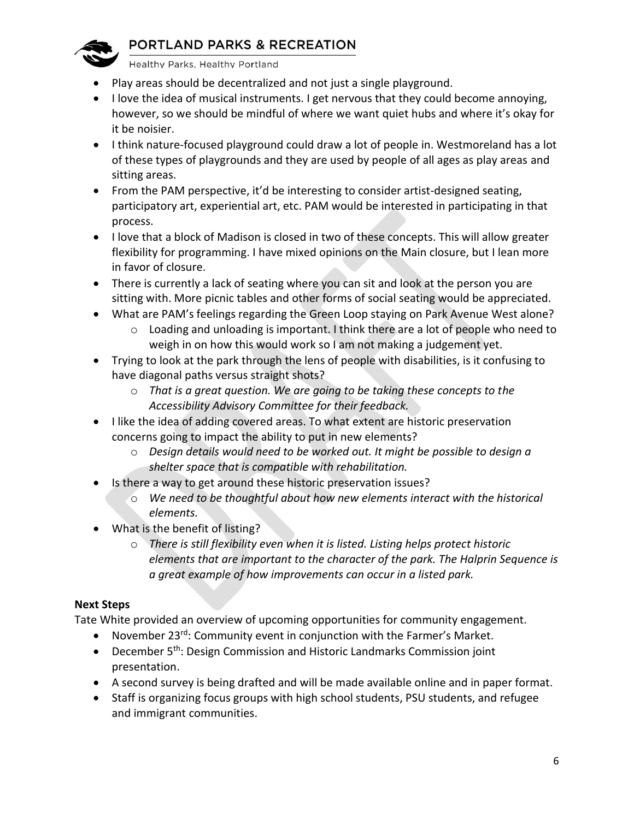

Healthy Parks, Healthy Portland

- Play areas should be decentralized and not just a single playground.
- I love the idea of musical instruments. I get nervous that they could become annoying, however, so we should be mindful of where we want quiet hubs and where it's okay for it be noisier.
- I think nature-focused playground could draw a lot of people in. Westmoreland has a lot of these types of playgrounds and they are used by people of all ages as play areas and sitting areas.
- From the PAM perspective, it'd be interesting to consider artist-designed seating, participatory art, experiential art, etc. PAM would be interested in participating in that process.
- I love that a block of Madison is closed in two of these concepts. This will allow greater flexibility for programming. I have mixed opinions on the Main closure, but I lean more in favor of closure.
- There is currently a lack of seating where you can sit and look at the person you are sitting with. More picnic tables and other forms of social seating would be appreciated.
- What are PAM's feelings regarding the Green Loop staying on Park Avenue West alone?
	- $\circ$  Loading and unloading is important. I think there are a lot of people who need to weigh in on how this would work so I am not making a judgement yet.
- Trying to look at the park through the lens of people with disabilities, is it confusing to have diagonal paths versus straight shots?
	- o *That is a great question. We are going to be taking these concepts to the Accessibility Advisory Committee for their feedback.*
- I like the idea of adding covered areas. To what extent are historic preservation concerns going to impact the ability to put in new elements?
	- o *Design details would need to be worked out. It might be possible to design a shelter space that is compatible with rehabilitation.*
- Is there a way to get around these historic preservation issues?
	- o *We need to be thoughtful about how new elements interact with the historical elements.*
- What is the benefit of listing?
	- o *There is still flexibility even when it is listed. Listing helps protect historic elements that are important to the character of the park. The Halprin Sequence is a great example of how improvements can occur in a listed park.*

### **Next Steps**

Tate White provided an overview of upcoming opportunities for community engagement.

- November 23<sup>rd</sup>: Community event in conjunction with the Farmer's Market.
- December  $5<sup>th</sup>$ : Design Commission and Historic Landmarks Commission joint presentation.
- A second survey is being drafted and will be made available online and in paper format.
- Staff is organizing focus groups with high school students, PSU students, and refugee and immigrant communities.